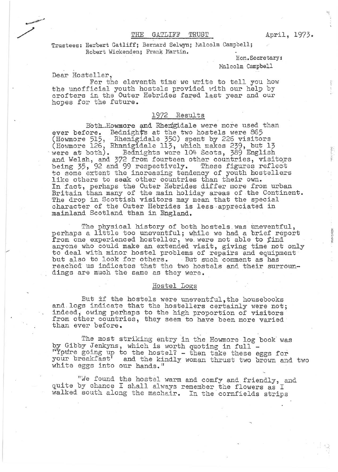## THE GATLIFF TRUST April, 1973.

Trustees: Herbert Gatliff: Bernard Selwyn; Nalcolm Campbell; Robert Wickenden; Frank Martin.

Hon.Secretary:

Halcolm Campbell

Dear Hosteller.

For the eleventh time we write to tell you how the unofficial youth hostels provided with our help by crofters in the Outer Hebrides fared last year and our hopes for the future.

## 1972 Results

Both Howmore and Rhengidale were more used than ever before. Bednights at the two hostels were 865 (Howmore 515, Rhenigidale 350) spent by 226 visitors (Howmore 126, Rhanigidale 113, which makes 239, but 13 were at both). Bednights were 104 Scots, 389 English and Welsh, and 372 from fourteen other countries, visitors<br>being 35, 92 and 99 respectively. These figures reflect being 35, 92 and 99 respectively. to some extent the increasing tendency of youth hostellers like others to seak other countries than their own. In fact, perhaps the Outer Hebrides differ more from urban Britain than many of the main holiday areas of the Continent. The drop in Scottish visitors may mean that the special character of the Outer Hebrides is less-appreciated in mainland Scotland than in England.

The physical history of both hostels was uneventful, perhaps a little too uneventful; while we had a brief report from one experienced hosteller, we were not able to find anyone who could make an extended visit, giving time not only to deal with minor hostel problems of repairs and equipment but also to look for others. But such comment as has reached us indicates that the two hostels and their surroundings are much the Same as they were.

## Hostel Logs

But if the hostels were uneventful, the housebooks and. logs indicate that the hostellers certainly were not; indeed, owing perhaps to the high proportion of visitors from other countries, they seem to have been more varied than ever before.

The most striking entry in the Howmore log book was by Gibby Jenkyns, which is worth quoting in full -'~Yptire going up to the hostel? - then take these eggs for your breakfast<sup>7</sup> and the kindly woman thrust two brown and two white eggs into our hands."

"We found the hostel warm and comfy and friendly, and quite by chance I shall always remember the flowers as I walked south along the machair. In the cornfields strips